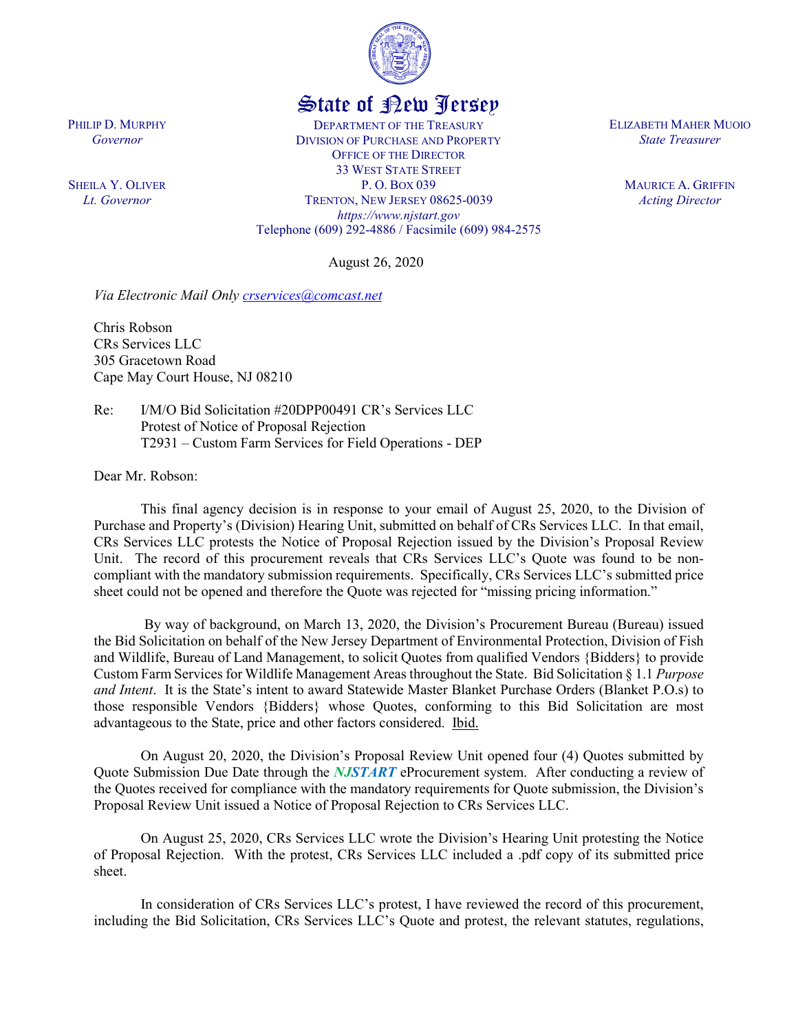

## State of New Jersey

DEPARTMENT OF THE TREASURY DIVISION OF PURCHASE AND PROPERTY OFFICE OF THE DIRECTOR 33 WEST STATE STREET P. O. BOX 039 TRENTON, NEW JERSEY 08625-0039 *https://www.njstart.gov* Telephone (609) 292-4886 / Facsimile (609) 984-2575

August 26, 2020

*Via Electronic Mail Only [crservices@comcast.net](mailto:crservices@comcast.net)*

Chris Robson CRs Services LLC 305 Gracetown Road Cape May Court House, NJ 08210

Re: I/M/O Bid Solicitation #20DPP00491 CR's Services LLC Protest of Notice of Proposal Rejection T2931 – Custom Farm Services for Field Operations - DEP

Dear Mr. Robson:

PHILIP D. MURPHY *Governor*

SHEILA Y. OLIVER *Lt. Governor*

> This final agency decision is in response to your email of August 25, 2020, to the Division of Purchase and Property's (Division) Hearing Unit, submitted on behalf of CRs Services LLC. In that email, CRs Services LLC protests the Notice of Proposal Rejection issued by the Division's Proposal Review Unit. The record of this procurement reveals that CRs Services LLC's Quote was found to be noncompliant with the mandatory submission requirements. Specifically, CRs Services LLC's submitted price sheet could not be opened and therefore the Quote was rejected for "missing pricing information."

> By way of background, on March 13, 2020, the Division's Procurement Bureau (Bureau) issued the Bid Solicitation on behalf of the New Jersey Department of Environmental Protection, Division of Fish and Wildlife, Bureau of Land Management, to solicit Quotes from qualified Vendors {Bidders} to provide Custom Farm Services for Wildlife Management Areas throughout the State. Bid Solicitation § 1.1 *Purpose and Intent*. It is the State's intent to award Statewide Master Blanket Purchase Orders (Blanket P.O.s) to those responsible Vendors {Bidders} whose Quotes, conforming to this Bid Solicitation are most advantageous to the State, price and other factors considered. Ibid.

> On August 20, 2020, the Division's Proposal Review Unit opened four (4) Quotes submitted by Quote Submission Due Date through the *NJSTART* eProcurement system. After conducting a review of the Quotes received for compliance with the mandatory requirements for Quote submission, the Division's Proposal Review Unit issued a Notice of Proposal Rejection to CRs Services LLC.

> On August 25, 2020, CRs Services LLC wrote the Division's Hearing Unit protesting the Notice of Proposal Rejection. With the protest, CRs Services LLC included a .pdf copy of its submitted price sheet.

> In consideration of CRs Services LLC's protest, I have reviewed the record of this procurement, including the Bid Solicitation, CRs Services LLC's Quote and protest, the relevant statutes, regulations,

ELIZABETH MAHER MUOIO *State Treasurer*

> MAURICE A. GRIFFIN *Acting Director*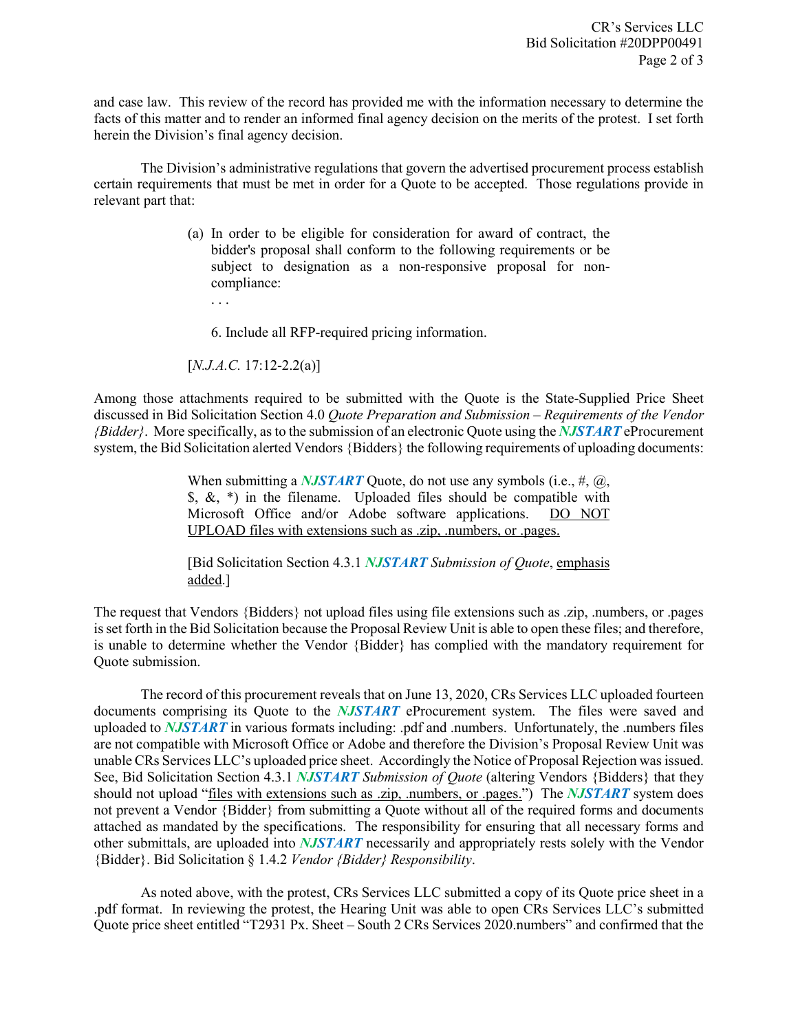and case law. This review of the record has provided me with the information necessary to determine the facts of this matter and to render an informed final agency decision on the merits of the protest. I set forth herein the Division's final agency decision.

The Division's administrative regulations that govern the advertised procurement process establish certain requirements that must be met in order for a Quote to be accepted. Those regulations provide in relevant part that:

> (a) In order to be eligible for consideration for award of contract, the bidder's proposal shall conform to the following requirements or be subject to designation as a non-responsive proposal for noncompliance:

. . .

6. Include all RFP-required pricing information.

[*N.J.A.C.* 17:12-2.2(a)]

Among those attachments required to be submitted with the Quote is the State-Supplied Price Sheet discussed in Bid Solicitation Section 4.0 *Quote Preparation and Submission – Requirements of the Vendor {Bidder}*. More specifically, as to the submission of an electronic Quote using the *NJSTART* eProcurement system, the Bid Solicitation alerted Vendors {Bidders} the following requirements of uploading documents:

> When submitting a *NJSTART* Quote, do not use any symbols (i.e., #, @,  $\$, \&, *$ ) in the filename. Uploaded files should be compatible with Microsoft Office and/or Adobe software applications. DO NOT UPLOAD files with extensions such as .zip, .numbers, or .pages.

> [Bid Solicitation Section 4.3.1 *NJSTART Submission of Quote*, emphasis added.]

The request that Vendors {Bidders} not upload files using file extensions such as .zip, .numbers, or .pages is set forth in the Bid Solicitation because the Proposal Review Unit is able to open these files; and therefore, is unable to determine whether the Vendor {Bidder} has complied with the mandatory requirement for Quote submission.

The record of this procurement reveals that on June 13, 2020, CRs Services LLC uploaded fourteen documents comprising its Quote to the *NJSTART* eProcurement system. The files were saved and uploaded to *NJSTART* in various formats including: .pdf and .numbers. Unfortunately, the .numbers files are not compatible with Microsoft Office or Adobe and therefore the Division's Proposal Review Unit was unable CRs Services LLC's uploaded price sheet. Accordingly the Notice of Proposal Rejection was issued. See, Bid Solicitation Section 4.3.1 *NJSTART Submission of Quote* (altering Vendors {Bidders} that they should not upload "files with extensions such as .zip, .numbers, or .pages.") The *NJSTART* system does not prevent a Vendor {Bidder} from submitting a Quote without all of the required forms and documents attached as mandated by the specifications. The responsibility for ensuring that all necessary forms and other submittals, are uploaded into *NJSTART* necessarily and appropriately rests solely with the Vendor {Bidder}. Bid Solicitation § 1.4.2 *Vendor {Bidder} Responsibility*.

As noted above, with the protest, CRs Services LLC submitted a copy of its Quote price sheet in a .pdf format. In reviewing the protest, the Hearing Unit was able to open CRs Services LLC's submitted Quote price sheet entitled "T2931 Px. Sheet – South 2 CRs Services 2020.numbers" and confirmed that the